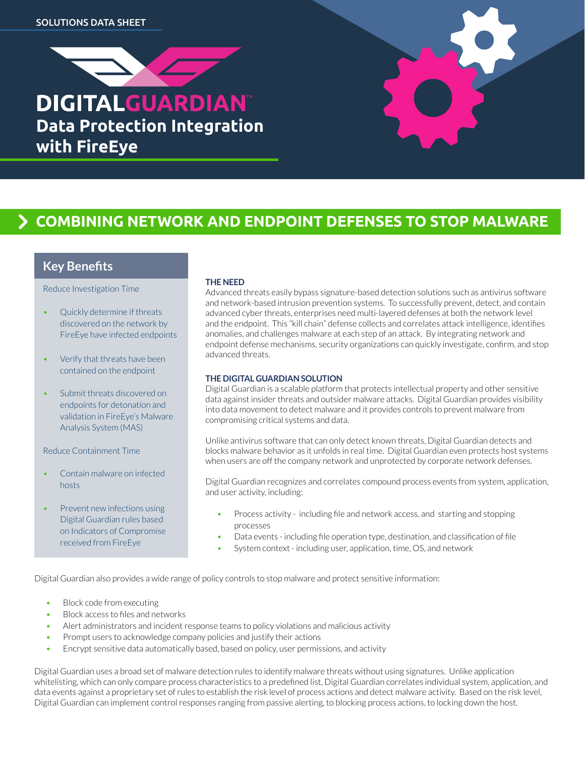

# **Combining network and endpoint defenses to stop malware**

### **Key Benefits**

Reduce Investigation Time

- Quickly determine if threats discovered on the network by FireEye have infected endpoints
- Verify that threats have been contained on the endpoint
- Submit threats discovered on endpoints for detonation and validation in FireEye's Malware Analysis System (MAS)

Reduce Containment Time

- Contain malware on infected hosts
- Prevent new infections using Digital Guardian rules based on Indicators of Compromise received from FireEye

#### **THE NEED**

Advanced threats easily bypass signature-based detection solutions such as antivirus software and network-based intrusion prevention systems. To successfully prevent, detect, and contain advanced cyber threats, enterprises need multi-layered defenses at both the network level and the endpoint. This "kill chain" defense collects and correlates attack intelligence, identifies anomalies, and challenges malware at each step of an attack. By integrating network and endpoint defense mechanisms, security organizations can quickly investigate, confirm, and stop advanced threats.

#### **THE DIGITAL GUARDIAN SOLUTION**

Digital Guardian is a scalable platform that protects intellectual property and other sensitive data against insider threats and outsider malware attacks. Digital Guardian provides visibility into data movement to detect malware and it provides controls to prevent malware from compromising critical systems and data.

Unlike antivirus software that can only detect known threats, Digital Guardian detects and blocks malware behavior as it unfolds in real time. Digital Guardian even protects host systems when users are off the company network and unprotected by corporate network defenses.

Digital Guardian recognizes and correlates compound process events from system, application, and user activity, including:

- Process activity including file and network access, and starting and stopping processes
- Data events including file operation type, destination, and classification of file
- System context including user, application, time, OS, and network

Digital Guardian also provides a wide range of policy controls to stop malware and protect sensitive information:

- Block code from executing
- Block access to files and networks
- Alert administrators and incident response teams to policy violations and malicious activity
- Prompt users to acknowledge company policies and justify their actions
- Encrypt sensitive data automatically based, based on policy, user permissions, and activity

Digital Guardian uses a broad set of malware detection rules to identify malware threats without using signatures. Unlike application whitelisting, which can only compare process characteristics to a predefined list, Digital Guardian correlates individual system, application, and data events against a proprietary set of rules to establish the risk level of process actions and detect malware activity. Based on the risk level, Digital Guardian can implement control responses ranging from passive alerting, to blocking process actions, to locking down the host.